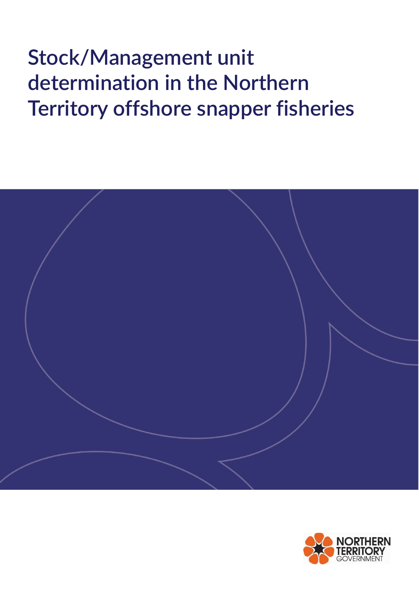

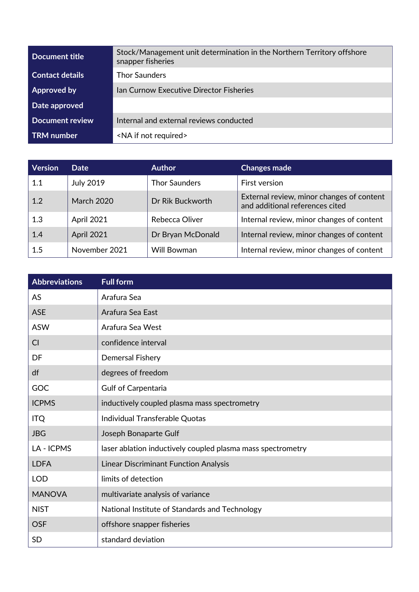| Stock/Management unit determination in the Northern Territory offshore<br>snapper fisheries |
|---------------------------------------------------------------------------------------------|
| <b>Thor Saunders</b>                                                                        |
| <b>Ian Curnow Executive Director Fisheries</b>                                              |
|                                                                                             |
| Internal and external reviews conducted                                                     |
| <na if="" not="" required=""></na>                                                          |
|                                                                                             |

| Version | Date              | <b>Author</b>        | <b>Changes made</b>                                                          |
|---------|-------------------|----------------------|------------------------------------------------------------------------------|
| 1.1     | <b>July 2019</b>  | <b>Thor Saunders</b> | First version                                                                |
| 1.2     | <b>March 2020</b> | Dr Rik Buckworth     | External review, minor changes of content<br>and additional references cited |
| 1.3     | April 2021        | Rebecca Oliver       | Internal review, minor changes of content                                    |
| 1.4     | <b>April 2021</b> | Dr Bryan McDonald    | Internal review, minor changes of content                                    |
| 1.5     | November 2021     | Will Bowman          | Internal review, minor changes of content                                    |

| <b>Abbreviations</b> | <b>Full form</b>                                            |
|----------------------|-------------------------------------------------------------|
| AS                   | Arafura Sea                                                 |
| <b>ASE</b>           | Arafura Sea East                                            |
| <b>ASW</b>           | Arafura Sea West                                            |
| CI                   | confidence interval                                         |
| DF                   | <b>Demersal Fishery</b>                                     |
| df                   | degrees of freedom                                          |
| GOC                  | <b>Gulf of Carpentaria</b>                                  |
| <b>ICPMS</b>         | inductively coupled plasma mass spectrometry                |
| <b>ITQ</b>           | Individual Transferable Quotas                              |
| <b>JBG</b>           | Joseph Bonaparte Gulf                                       |
| LA - ICPMS           | laser ablation inductively coupled plasma mass spectrometry |
| <b>LDFA</b>          | <b>Linear Discriminant Function Analysis</b>                |
| <b>LOD</b>           | limits of detection                                         |
| <b>MANOVA</b>        | multivariate analysis of variance                           |
| <b>NIST</b>          | National Institute of Standards and Technology              |
| <b>OSF</b>           | offshore snapper fisheries                                  |
| <b>SD</b>            | standard deviation                                          |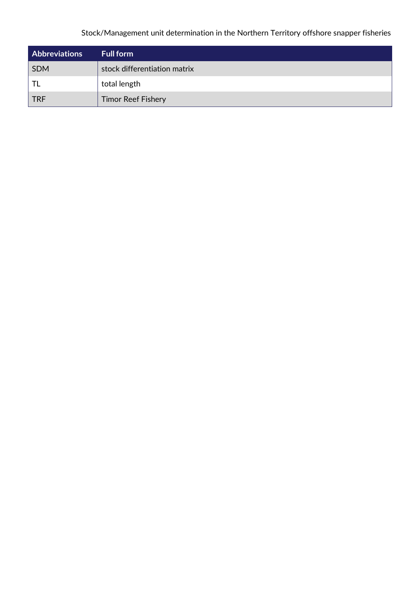| <b>Abbreviations</b> | <b>Full form</b>             |
|----------------------|------------------------------|
| <b>SDM</b>           | stock differentiation matrix |
| TL                   | total length                 |
| <b>TRF</b>           | <b>Timor Reef Fishery</b>    |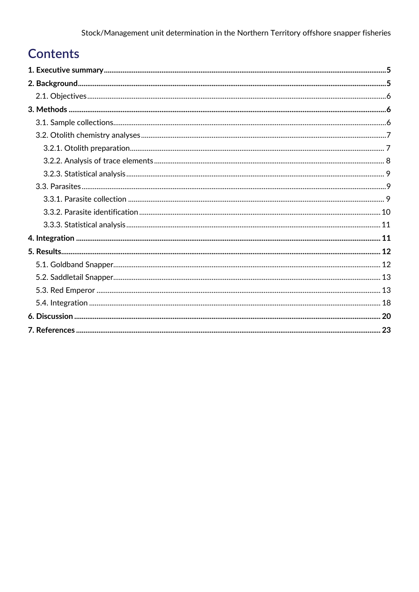# **Contents**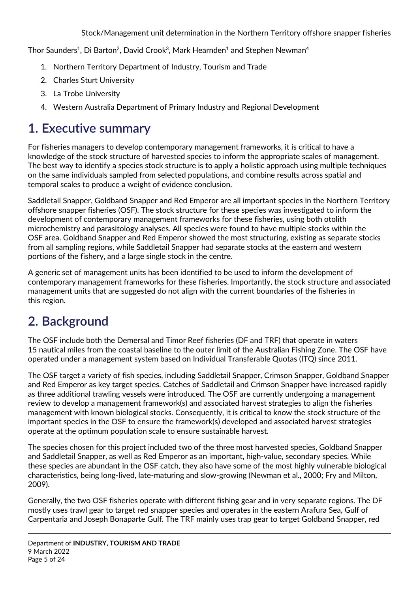Thor Saunders<sup>1</sup>, Di Barton<sup>2</sup>, David Crook<sup>3</sup>, Mark Hearnden<sup>1</sup> and Stephen Newman<sup>4</sup>

- 1. Northern Territory Department of Industry, Tourism and Trade
- 2. Charles Sturt University
- 3. La Trobe University
- 4. Western Australia Department of Primary Industry and Regional Development

# <span id="page-4-0"></span>**1. Executive summary**

For fisheries managers to develop contemporary management frameworks, it is critical to have a knowledge of the stock structure of harvested species to inform the appropriate scales of management. The best way to identify a species stock structure is to apply a holistic approach using multiple techniques on the same individuals sampled from selected populations, and combine results across spatial and temporal scales to produce a weight of evidence conclusion.

Saddletail Snapper, Goldband Snapper and Red Emperor are all important species in the Northern Territory offshore snapper fisheries (OSF). The stock structure for these species was investigated to inform the development of contemporary management frameworks for these fisheries, using both otolith microchemistry and parasitology analyses. All species were found to have multiple stocks within the OSF area. Goldband Snapper and Red Emperor showed the most structuring, existing as separate stocks from all sampling regions, while Saddletail Snapper had separate stocks at the eastern and western portions of the fishery, and a large single stock in the centre.

A generic set of management units has been identified to be used to inform the development of contemporary management frameworks for these fisheries. Importantly, the stock structure and associated management units that are suggested do not align with the current boundaries of the fisheries in this region.

# <span id="page-4-1"></span>**2. Background**

The OSF include both the Demersal and Timor Reef fisheries (DF and TRF) that operate in waters 15 nautical miles from the coastal baseline to the outer limit of the Australian Fishing Zone. The OSF have operated under a management system based on Individual Transferable Quotas (ITQ) since 2011.

The OSF target a variety of fish species, including Saddletail Snapper, Crimson Snapper, Goldband Snapper and Red Emperor as key target species. Catches of Saddletail and Crimson Snapper have increased rapidly as three additional trawling vessels were introduced. The OSF are currently undergoing a management review to develop a management framework(s) and associated harvest strategies to align the fisheries management with known biological stocks. Consequently, it is critical to know the stock structure of the important species in the OSF to ensure the framework(s) developed and associated harvest strategies operate at the optimum population scale to ensure sustainable harvest.

The species chosen for this project included two of the three most harvested species, Goldband Snapper and Saddletail Snapper, as well as Red Emperor as an important, high-value, secondary species. While these species are abundant in the OSF catch, they also have some of the most highly vulnerable biological characteristics, being long-lived, late-maturing and slow-growing (Newman et al., 2000; Fry and Milton, 2009).

Generally, the two OSF fisheries operate with different fishing gear and in very separate regions. The DF mostly uses trawl gear to target red snapper species and operates in the eastern Arafura Sea, Gulf of Carpentaria and Joseph Bonaparte Gulf. The TRF mainly uses trap gear to target Goldband Snapper, red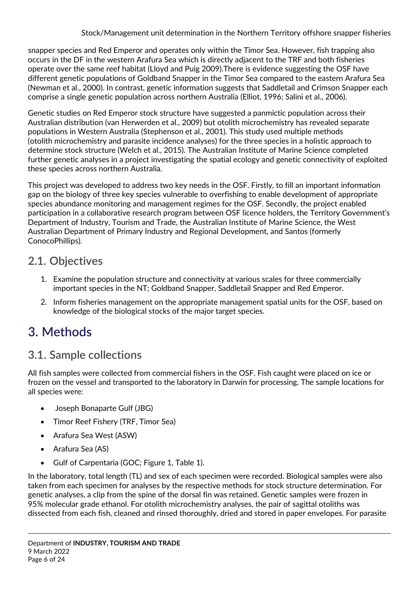snapper species and Red Emperor and operates only within the Timor Sea. However, fish trapping also occurs in the DF in the western Arafura Sea which is directly adjacent to the TRF and both fisheries operate over the same reef habitat (Lloyd and Puig 2009).There is evidence suggesting the OSF have different genetic populations of Goldband Snapper in the Timor Sea compared to the eastern Arafura Sea (Newman et al., 2000). In contrast, genetic information suggests that Saddletail and Crimson Snapper each comprise a single genetic population across northern Australia (Elliot, 1996; Salini et al., 2006).

Genetic studies on Red Emperor stock structure have suggested a panmictic population across their Australian distribution (van Herwerden et al., 2009) but otolith microchemistry has revealed separate populations in Western Australia (Stephenson et al., 2001). This study used multiple methods (otolith microchemistry and parasite incidence analyses) for the three species in a holistic approach to determine stock structure (Welch et al., 2015). The Australian Institute of Marine Science completed further genetic analyses in a project investigating the spatial ecology and genetic connectivity of exploited these species across northern Australia.

This project was developed to address two key needs in the OSF. Firstly, to fill an important information gap on the biology of three key species vulnerable to overfishing to enable development of appropriate species abundance monitoring and management regimes for the OSF. Secondly, the project enabled participation in a collaborative research program between OSF licence holders, the Territory Government's Department of Industry, Tourism and Trade, the Australian Institute of Marine Science, the West Australian Department of Primary Industry and Regional Development, and Santos (formerly ConocoPhillips).

## <span id="page-5-0"></span>**2.1. Objectives**

- 1. Examine the population structure and connectivity at various scales for three commercially important species in the NT; Goldband Snapper, Saddletail Snapper and Red Emperor.
- 2. Inform fisheries management on the appropriate management spatial units for the OSF, based on knowledge of the biological stocks of the major target species.

# <span id="page-5-1"></span>**3. Methods**

# <span id="page-5-2"></span>**3.1. Sample collections**

All fish samples were collected from commercial fishers in the OSF. Fish caught were placed on ice or frozen on the vessel and transported to the laboratory in Darwin for processing. The sample locations for all species were:

- Joseph Bonaparte Gulf (JBG)
- Timor Reef Fishery (TRF, Timor Sea)
- Arafura Sea West (ASW)
- Arafura Sea (AS)
- Gulf of Carpentaria (GOC; Figure 1, Table 1).

In the laboratory, total length (TL) and sex of each specimen were recorded. Biological samples were also taken from each specimen for analyses by the respective methods for stock structure determination. For genetic analyses, a clip from the spine of the dorsal fin was retained. Genetic samples were frozen in 95% molecular grade ethanol. For otolith microchemistry analyses, the pair of sagittal otoliths was dissected from each fish, cleaned and rinsed thoroughly, dried and stored in paper envelopes. For parasite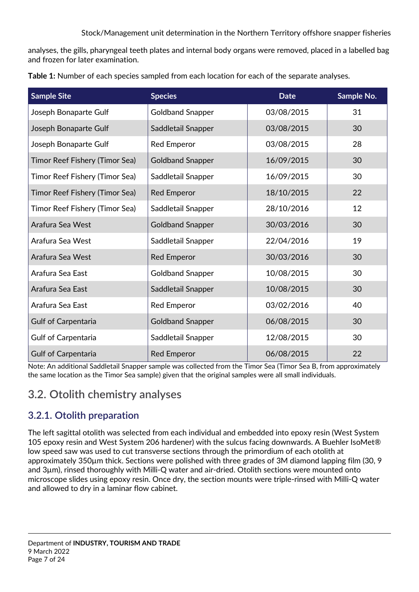analyses, the gills, pharyngeal teeth plates and internal body organs were removed, placed in a labelled bag and frozen for later examination.

| <b>Sample Site</b>             | <b>Species</b>          | <b>Date</b> | Sample No. |
|--------------------------------|-------------------------|-------------|------------|
| Joseph Bonaparte Gulf          | <b>Goldband Snapper</b> | 03/08/2015  | 31         |
| Joseph Bonaparte Gulf          | Saddletail Snapper      | 03/08/2015  | 30         |
| Joseph Bonaparte Gulf          | <b>Red Emperor</b>      | 03/08/2015  | 28         |
| Timor Reef Fishery (Timor Sea) | <b>Goldband Snapper</b> | 16/09/2015  | 30         |
| Timor Reef Fishery (Timor Sea) | Saddletail Snapper      | 16/09/2015  | 30         |
| Timor Reef Fishery (Timor Sea) | <b>Red Emperor</b>      | 18/10/2015  | 22         |
| Timor Reef Fishery (Timor Sea) | Saddletail Snapper      | 28/10/2016  | 12         |
| Arafura Sea West               | <b>Goldband Snapper</b> | 30/03/2016  | 30         |
| Arafura Sea West               | Saddletail Snapper      | 22/04/2016  | 19         |
| Arafura Sea West               | <b>Red Emperor</b>      | 30/03/2016  | 30         |
| Arafura Sea East               | <b>Goldband Snapper</b> | 10/08/2015  | 30         |
| Arafura Sea East               | Saddletail Snapper      | 10/08/2015  | 30         |
| Arafura Sea East               | <b>Red Emperor</b>      | 03/02/2016  | 40         |
| <b>Gulf of Carpentaria</b>     | <b>Goldband Snapper</b> | 06/08/2015  | 30         |
| <b>Gulf of Carpentaria</b>     | Saddletail Snapper      | 12/08/2015  | 30         |
| <b>Gulf of Carpentaria</b>     | <b>Red Emperor</b>      | 06/08/2015  | 22         |

**Table 1:** Number of each species sampled from each location for each of the separate analyses.

Note: An additional Saddletail Snapper sample was collected from the Timor Sea (Timor Sea B, from approximately the same location as the Timor Sea sample) given that the original samples were all small individuals.

## <span id="page-6-0"></span>**3.2. Otolith chemistry analyses**

### <span id="page-6-1"></span>**3.2.1. Otolith preparation**

The left sagittal otolith was selected from each individual and embedded into epoxy resin (West System 105 epoxy resin and West System 206 hardener) with the sulcus facing downwards. A Buehler IsoMet® low speed saw was used to cut transverse sections through the primordium of each otolith at approximately 350µm thick. Sections were polished with three grades of 3M diamond lapping film (30, 9 and 3µm), rinsed thoroughly with Milli-Q water and air-dried. Otolith sections were mounted onto microscope slides using epoxy resin. Once dry, the section mounts were triple-rinsed with Milli-Q water and allowed to dry in a laminar flow cabinet.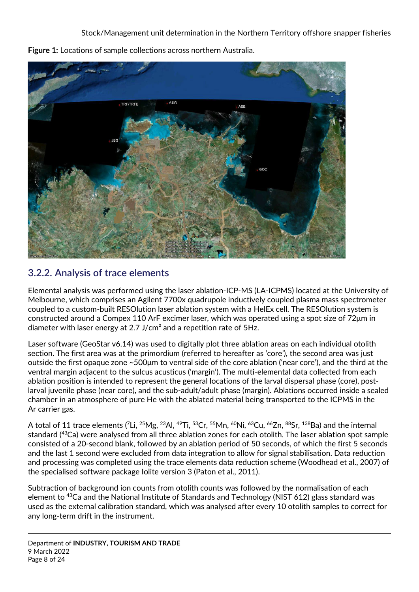

**Figure 1:** Locations of sample collections across northern Australia.

### <span id="page-7-0"></span>**3.2.2. Analysis of trace elements**

Elemental analysis was performed using the laser ablation-ICP-MS (LA-ICPMS) located at the University of Melbourne, which comprises an Agilent 7700x quadrupole inductively coupled plasma mass spectrometer coupled to a custom-built RESOlution laser ablation system with a HelEx cell. The RESOlution system is constructed around a Compex 110 ArF excimer laser, which was operated using a spot size of 72μm in diameter with laser energy at 2.7 J/cm<sup>2</sup> and a repetition rate of 5Hz.

Laser software (GeoStar v6.14) was used to digitally plot three ablation areas on each individual otolith section. The first area was at the primordium (referred to hereafter as 'core'), the second area was just outside the first opaque zone ~500μm to ventral side of the core ablation ('near core'), and the third at the ventral margin adjacent to the sulcus acusticus ('margin'). The multi-elemental data collected from each ablation position is intended to represent the general locations of the larval dispersal phase (core), postlarval juvenile phase (near core), and the sub-adult/adult phase (margin). Ablations occurred inside a sealed chamber in an atmosphere of pure He with the ablated material being transported to the ICPMS in the Ar carrier gas.

A total of 11 trace elements (<sup>7</sup>Li, <sup>25</sup>Mg, <sup>23</sup>Al, <sup>49</sup>Ti, <sup>53</sup>Cr, <sup>55</sup>Mn, <sup>60</sup>Ni, <sup>63</sup>Cu, <sup>66</sup>Zn, <sup>88</sup>Sr, <sup>138</sup>Ba) and the internal standard (<sup>43</sup>Ca) were analysed from all three ablation zones for each otolith. The laser ablation spot sample consisted of a 20-second blank, followed by an ablation period of 50 seconds, of which the first 5 seconds and the last 1 second were excluded from data integration to allow for signal stabilisation. Data reduction and processing was completed using the trace elements data reduction scheme (Woodhead et al., 2007) of the specialised software package Iolite version 3 (Paton et al., 2011).

Subtraction of background ion counts from otolith counts was followed by the normalisation of each element to <sup>43</sup>Ca and the National Institute of Standards and Technology (NIST 612) glass standard was used as the external calibration standard, which was analysed after every 10 otolith samples to correct for any long-term drift in the instrument.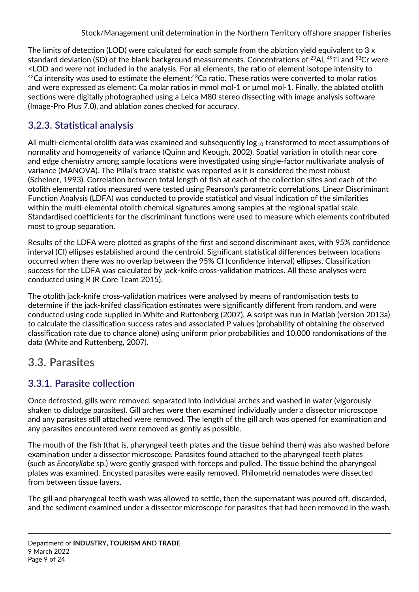The limits of detection (LOD) were calculated for each sample from the ablation yield equivalent to  $3 \times$ standard deviation (SD) of the blank background measurements. Concentrations of  $^{23}$ Al,  $^{49}$ Ti and  $^{53}$ Cr were <LOD and were not included in the analysis. For all elements, the ratio of element isotope intensity to  $43$ Ca intensity was used to estimate the element: $43$ Ca ratio. These ratios were converted to molar ratios and were expressed as element: Ca molar ratios in mmol mol-1 or µmol mol-1. Finally, the ablated otolith sections were digitally photographed using a Leica M80 stereo dissecting with image analysis software (Image-Pro Plus 7.0), and ablation zones checked for accuracy.

### <span id="page-8-0"></span>**3.2.3. Statistical analysis**

All multi-elemental otolith data was examined and subsequently  $log_{10}$  transformed to meet assumptions of normality and homogeneity of variance (Quinn and Keough, 2002). Spatial variation in otolith near core and edge chemistry among sample locations were investigated using single-factor multivariate analysis of variance (MANOVA). The Pillai's trace statistic was reported as it is considered the most robust (Scheiner, 1993). Correlation between total length of fish at each of the collection sites and each of the otolith elemental ratios measured were tested using Pearson's parametric correlations. Linear Discriminant Function Analysis (LDFA) was conducted to provide statistical and visual indication of the similarities within the multi-elemental otolith chemical signatures among samples at the regional spatial scale. Standardised coefficients for the discriminant functions were used to measure which elements contributed most to group separation.

Results of the LDFA were plotted as graphs of the first and second discriminant axes, with 95% confidence interval (CI) ellipses established around the centroid. Significant statistical differences between locations occurred when there was no overlap between the 95% CI (confidence interval) ellipses. Classification success for the LDFA was calculated by jack-knife cross-validation matrices. All these analyses were conducted using R (R Core Team 2015).

The otolith jack-knife cross-validation matrices were analysed by means of randomisation tests to determine if the jack-knifed classification estimates were significantly different from random, and were conducted using code supplied in White and Ruttenberg (2007). A script was run in Matlab (version 2013a) to calculate the classification success rates and associated P values (probability of obtaining the observed classification rate due to chance alone) using uniform prior probabilities and 10,000 randomisations of the data (White and Ruttenberg, 2007).

### <span id="page-8-1"></span>**3.3. Parasites**

### <span id="page-8-2"></span>**3.3.1. Parasite collection**

Once defrosted, gills were removed, separated into individual arches and washed in water (vigorously shaken to dislodge parasites). Gill arches were then examined individually under a dissector microscope and any parasites still attached were removed. The length of the gill arch was opened for examination and any parasites encountered were removed as gently as possible.

The mouth of the fish (that is, pharyngeal teeth plates and the tissue behind them) was also washed before examination under a dissector microscope. Parasites found attached to the pharyngeal teeth plates (such as *Encotyllabe* sp.) were gently grasped with forceps and pulled. The tissue behind the pharyngeal plates was examined. Encysted parasites were easily removed. Philometrid nematodes were dissected from between tissue layers.

The gill and pharyngeal teeth wash was allowed to settle, then the supernatant was poured off, discarded, and the sediment examined under a dissector microscope for parasites that had been removed in the wash.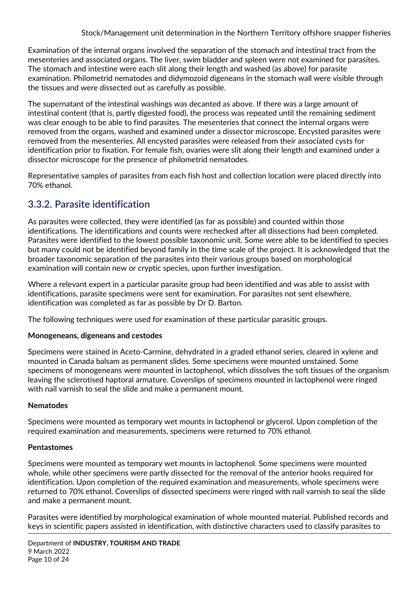Examination of the internal organs involved the separation of the stomach and intestinal tract from the mesenteries and associated organs. The liver, swim bladder and spleen were not examined for parasites. The stomach and intestine were each slit along their length and washed (as above) for parasite examination. Philometrid nematodes and didymozoid digeneans in the stomach wall were visible through the tissues and were dissected out as carefully as possible.

The supernatant of the intestinal washings was decanted as above. If there was a large amount of intestinal content (that is, partly digested food), the process was repeated until the remaining sediment was clear enough to be able to find parasites. The mesenteries that connect the internal organs were removed from the organs, washed and examined under a dissector microscope. Encysted parasites were removed from the mesenteries. All encysted parasites were released from their associated cysts for identification prior to fixation. For female fish, ovaries were slit along their length and examined under a dissector microscope for the presence of philometrid nematodes.

Representative samples of parasites from each fish host and collection location were placed directly into 70% ethanol.

### <span id="page-9-0"></span>**3.3.2. Parasite identification**

As parasites were collected, they were identified (as far as possible) and counted within those identifications. The identifications and counts were rechecked after all dissections had been completed. Parasites were identified to the lowest possible taxonomic unit. Some were able to be identified to species but many could not be identified beyond family in the time scale of the project. It is acknowledged that the broader taxonomic separation of the parasites into their various groups based on morphological examination will contain new or cryptic species, upon further investigation.

Where a relevant expert in a particular parasite group had been identified and was able to assist with identifications, parasite specimens were sent for examination. For parasites not sent elsewhere, identification was completed as far as possible by Dr D. Barton.

The following techniques were used for examination of these particular parasitic groups.

#### **Monogeneans, digeneans and cestodes**

Specimens were stained in Aceto-Carmine, dehydrated in a graded ethanol series, cleared in xylene and mounted in Canada balsam as permanent slides. Some specimens were mounted unstained. Some specimens of monogeneans were mounted in lactophenol, which dissolves the soft tissues of the organism leaving the sclerotised haptoral armature. Coverslips of specimens mounted in lactophenol were ringed with nail varnish to seal the slide and make a permanent mount.

#### **Nematodes**

Specimens were mounted as temporary wet mounts in lactophenol or glycerol. Upon completion of the required examination and measurements, specimens were returned to 70% ethanol.

#### **Pentastomes**

Specimens were mounted as temporary wet mounts in lactophenol. Some specimens were mounted whole, while other specimens were partly dissected for the removal of the anterior hooks required for identification. Upon completion of the required examination and measurements, whole specimens were returned to 70% ethanol. Coverslips of dissected specimens were ringed with nail varnish to seal the slide and make a permanent mount.

Parasites were identified by morphological examination of whole mounted material. Published records and keys in scientific papers assisted in identification, with distinctive characters used to classify parasites to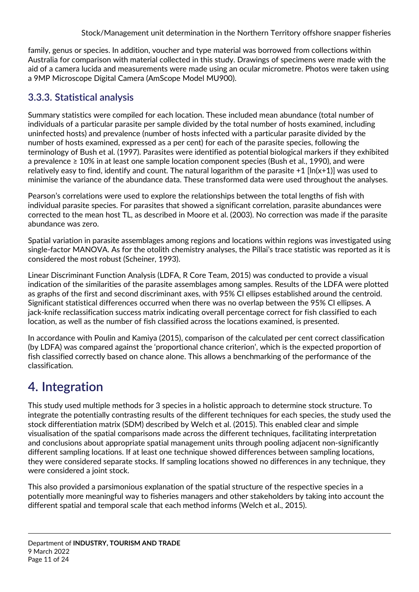family, genus or species. In addition, voucher and type material was borrowed from collections within Australia for comparison with material collected in this study. Drawings of specimens were made with the aid of a camera lucida and measurements were made using an ocular micrometre. Photos were taken using a 9MP Microscope Digital Camera (AmScope Model MU900).

### <span id="page-10-0"></span>**3.3.3. Statistical analysis**

Summary statistics were compiled for each location. These included mean abundance (total number of individuals of a particular parasite per sample divided by the total number of hosts examined, including uninfected hosts) and prevalence (number of hosts infected with a particular parasite divided by the number of hosts examined, expressed as a per cent) for each of the parasite species, following the terminology of Bush et al. (1997). Parasites were identified as potential biological markers if they exhibited a prevalence ≥ 10% in at least one sample location component species (Bush et al., 1990), and were relatively easy to find, identify and count. The natural logarithm of the parasite +1 [ln(x+1)] was used to minimise the variance of the abundance data. These transformed data were used throughout the analyses.

Pearson's correlations were used to explore the relationships between the total lengths of fish with individual parasite species. For parasites that showed a significant correlation, parasite abundances were corrected to the mean host TL, as described in Moore et al. (2003). No correction was made if the parasite abundance was zero.

Spatial variation in parasite assemblages among regions and locations within regions was investigated using single-factor MANOVA. As for the otolith chemistry analyses, the Pillai's trace statistic was reported as it is considered the most robust (Scheiner, 1993).

Linear Discriminant Function Analysis (LDFA, R Core Team, 2015) was conducted to provide a visual indication of the similarities of the parasite assemblages among samples. Results of the LDFA were plotted as graphs of the first and second discriminant axes, with 95% CI ellipses established around the centroid. Significant statistical differences occurred when there was no overlap between the 95% CI ellipses. A jack-knife reclassification success matrix indicating overall percentage correct for fish classified to each location, as well as the number of fish classified across the locations examined, is presented.

In accordance with Poulin and Kamiya (2015), comparison of the calculated per cent correct classification (by LDFA) was compared against the 'proportional chance criterion', which is the expected proportion of fish classified correctly based on chance alone. This allows a benchmarking of the performance of the classification.

# <span id="page-10-1"></span>**4. Integration**

This study used multiple methods for 3 species in a holistic approach to determine stock structure. To integrate the potentially contrasting results of the different techniques for each species, the study used the stock differentiation matrix (SDM) described by Welch et al. (2015). This enabled clear and simple visualisation of the spatial comparisons made across the different techniques, facilitating interpretation and conclusions about appropriate spatial management units through pooling adjacent non-significantly different sampling locations. If at least one technique showed differences between sampling locations, they were considered separate stocks. If sampling locations showed no differences in any technique, they were considered a joint stock.

This also provided a parsimonious explanation of the spatial structure of the respective species in a potentially more meaningful way to fisheries managers and other stakeholders by taking into account the different spatial and temporal scale that each method informs (Welch et al., 2015).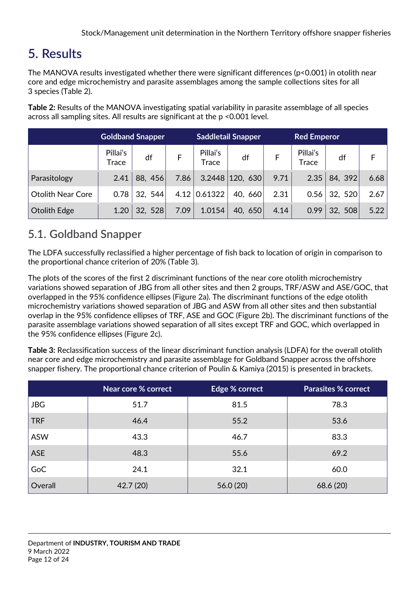# <span id="page-11-0"></span>**5. Results**

The MANOVA results investigated whether there were significant differences (p<0.001) in otolith near core and edge microchemistry and parasite assemblages among the sample collections sites for all 3 species (Table 2).

**Table 2:** Results of the MANOVA investigating spatial variability in parasite assemblage of all species across all sampling sites. All results are significant at the p <0.001 level.

|                          | <b>Goldband Snapper</b> |         |      | <b>Saddletail Snapper</b> |                     | <b>Red Emperor</b> |                   |         |      |
|--------------------------|-------------------------|---------|------|---------------------------|---------------------|--------------------|-------------------|---------|------|
|                          | Pillai's<br>Trace       | df      |      | Pillai's<br>Trace         | df                  |                    | Pillai's<br>Trace | df      | F    |
| Parasitology             | 2.41                    | 88, 456 | 7.86 |                           | $3.2448$   120, 630 | 9.71               | 2.35              | 84, 392 | 6.68 |
| <b>Otolith Near Core</b> | 0.78                    | 32, 544 |      | $4.12 \mid 0.61322$       | 40, 660             | 2.31               | 0.56              | 32, 520 | 2.67 |
| Otolith Edge             | 1.20                    | 32, 528 | 7.09 | 1.0154                    | 40, 650             | 4.14               | 0.99              | 32, 508 | 5.22 |

## <span id="page-11-1"></span>**5.1. Goldband Snapper**

The LDFA successfully reclassified a higher percentage of fish back to location of origin in comparison to the proportional chance criterion of 20% (Table 3).

The plots of the scores of the first 2 discriminant functions of the near core otolith microchemistry variations showed separation of JBG from all other sites and then 2 groups, TRF/ASW and ASE/GOC, that overlapped in the 95% confidence ellipses (Figure 2a). The discriminant functions of the edge otolith microchemistry variations showed separation of JBG and ASW from all other sites and then substantial overlap in the 95% confidence ellipses of TRF, ASE and GOC (Figure 2b). The discriminant functions of the parasite assemblage variations showed separation of all sites except TRF and GOC, which overlapped in the 95% confidence ellipses (Figure 2c).

**Table 3:** Reclassification success of the linear discriminant function analysis (LDFA) for the overall otolith near core and edge microchemistry and parasite assemblage for Goldband Snapper across the offshore snapper fishery. The proportional chance criterion of Poulin & Kamiya (2015) is presented in brackets.

|            | Near core % correct | Edge % correct | <b>Parasites % correct</b> |
|------------|---------------------|----------------|----------------------------|
| <b>JBG</b> | 51.7                | 81.5           | 78.3                       |
| <b>TRF</b> | 46.4                | 55.2           | 53.6                       |
| <b>ASW</b> | 43.3                | 46.7           | 83.3                       |
| <b>ASE</b> | 48.3                | 55.6           | 69.2                       |
| GoC        | 24.1                | 32.1           | 60.0                       |
| Overall    | 42.7 (20)           | 56.0(20)       | 68.6 (20)                  |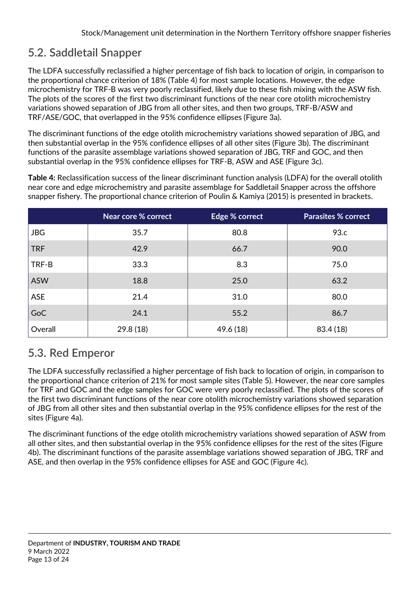# <span id="page-12-0"></span>**5.2. Saddletail Snapper**

The LDFA successfully reclassified a higher percentage of fish back to location of origin, in comparison to the proportional chance criterion of 18% (Table 4) for most sample locations. However, the edge microchemistry for TRF-B was very poorly reclassified, likely due to these fish mixing with the ASW fish. The plots of the scores of the first two discriminant functions of the near core otolith microchemistry variations showed separation of JBG from all other sites, and then two groups, TRF-B/ASW and TRF/ASE/GOC, that overlapped in the 95% confidence ellipses (Figure 3a).

The discriminant functions of the edge otolith microchemistry variations showed separation of JBG, and then substantial overlap in the 95% confidence ellipses of all other sites (Figure 3b). The discriminant functions of the parasite assemblage variations showed separation of JBG, TRF and GOC, and then substantial overlap in the 95% confidence ellipses for TRF-B, ASW and ASE (Figure 3c).

**Table 4:** Reclassification success of the linear discriminant function analysis (LDFA) for the overall otolith near core and edge microchemistry and parasite assemblage for Saddletail Snapper across the offshore snapper fishery. The proportional chance criterion of Poulin & Kamiya (2015) is presented in brackets.

|            | Near core % correct | Edge % correct | <b>Parasites % correct</b> |
|------------|---------------------|----------------|----------------------------|
| <b>JBG</b> | 35.7                | 80.8           | 93.c                       |
| <b>TRF</b> | 42.9                | 66.7           | 90.0                       |
| TRF-B      | 33.3                | 8.3            | 75.0                       |
| <b>ASW</b> | 18.8                | 25.0           | 63.2                       |
| <b>ASE</b> | 21.4                | 31.0           | 80.0                       |
| GoC        | 24.1                | 55.2           | 86.7                       |
| Overall    | 29.8(18)            | 49.6 (18)      | 83.4 (18)                  |

## <span id="page-12-1"></span>**5.3. Red Emperor**

The LDFA successfully reclassified a higher percentage of fish back to location of origin, in comparison to the proportional chance criterion of 21% for most sample sites (Table 5). However, the near core samples for TRF and GOC and the edge samples for GOC were very poorly reclassified. The plots of the scores of the first two discriminant functions of the near core otolith microchemistry variations showed separation of JBG from all other sites and then substantial overlap in the 95% confidence ellipses for the rest of the sites (Figure 4a).

The discriminant functions of the edge otolith microchemistry variations showed separation of ASW from all other sites, and then substantial overlap in the 95% confidence ellipses for the rest of the sites (Figure 4b). The discriminant functions of the parasite assemblage variations showed separation of JBG, TRF and ASE, and then overlap in the 95% confidence ellipses for ASE and GOC (Figure 4c).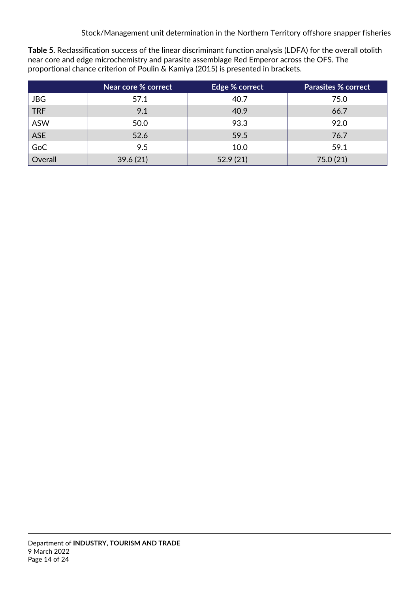**Table 5.** Reclassification success of the linear discriminant function analysis (LDFA) for the overall otolith near core and edge microchemistry and parasite assemblage Red Emperor across the OFS. The proportional chance criterion of Poulin & Kamiya (2015) is presented in brackets.

|            | Near core % correct | Edge % correct | <b>Parasites % correct</b> |
|------------|---------------------|----------------|----------------------------|
| <b>JBG</b> | 57.1                | 40.7           | 75.0                       |
| <b>TRF</b> | 9.1                 | 40.9           | 66.7                       |
| <b>ASW</b> | 50.0                | 93.3           | 92.0                       |
| ASE        | 52.6                | 59.5           | 76.7                       |
| GoC        | 9.5                 | 10.0           | 59.1                       |
| Overall    | 39.6(21)            | 52.9(21)       | 75.0(21)                   |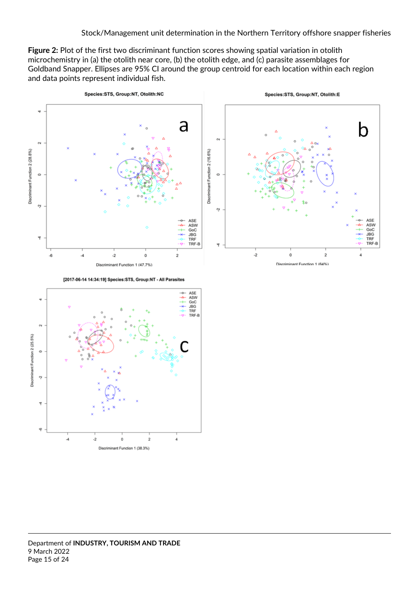**Figure 2:** Plot of the first two discriminant function scores showing spatial variation in otolith microchemistry in (a) the otolith near core, (b) the otolith edge, and (c) parasite assemblages for Goldband Snapper. Ellipses are 95% CI around the group centroid for each location within each region and data points represent individual fish.



[2017-06-14 14:34:19] Species:STS, Group:NT - All Parasites



Department of **INDUSTRY, TOURISM AND TRADE** 9 March 2022 Page 15 of 24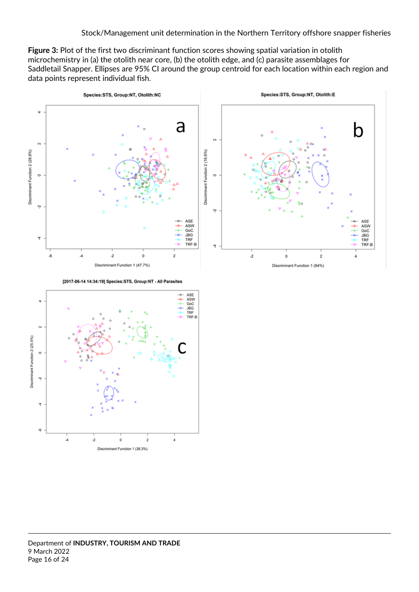**Figure 3:** Plot of the first two discriminant function scores showing spatial variation in otolith microchemistry in (a) the otolith near core, (b) the otolith edge, and (c) parasite assemblages for Saddletail Snapper. Ellipses are 95% CI around the group centroid for each location within each region and data points represent individual fish.



[2017-06-14 14:34:19] Species: STS, Group: NT - All Parasites

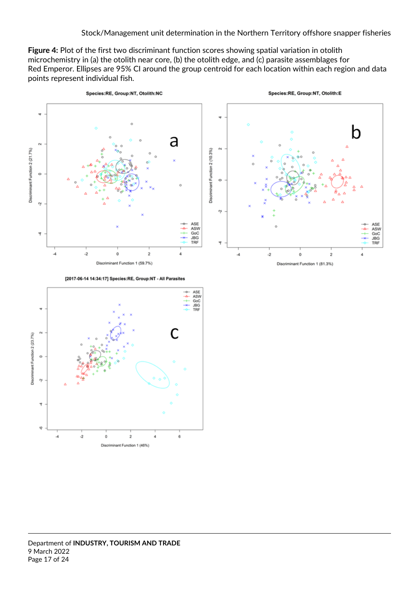**Figure 4:** Plot of the first two discriminant function scores showing spatial variation in otolith microchemistry in (a) the otolith near core, (b) the otolith edge, and (c) parasite assemblages for Red Emperor. Ellipses are 95% CI around the group centroid for each location within each region and data points represent individual fish.



[2017-06-14 14:34:17] Species:RE, Group:NT - All Parasites



Department of **INDUSTRY, TOURISM AND TRADE** 9 March 2022 Page 17 of 24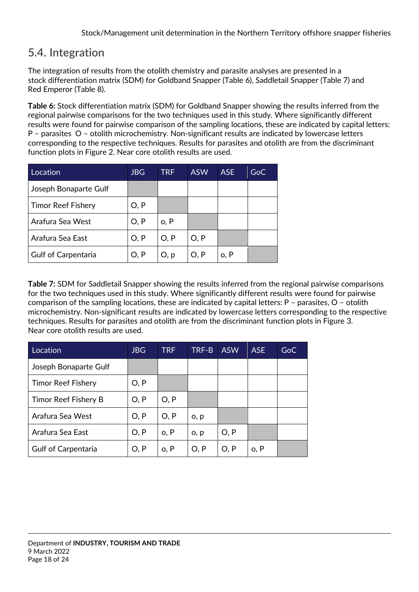# <span id="page-17-0"></span>**5.4. Integration**

The integration of results from the otolith chemistry and parasite analyses are presented in a stock differentiation matrix (SDM) for Goldband Snapper (Table 6), Saddletail Snapper (Table 7) and Red Emperor (Table 8).

**Table 6:** Stock differentiation matrix (SDM) for Goldband Snapper showing the results inferred from the regional pairwise comparisons for the two techniques used in this study. Where significantly different results were found for pairwise comparison of the sampling locations, these are indicated by capital letters: P – parasites O – otolith microchemistry. Non-significant results are indicated by lowercase letters corresponding to the respective techniques. Results for parasites and otolith are from the discriminant function plots in Figure 2. Near core otolith results are used.

| Location                   | <b>JBG</b> | <b>TRF</b> | <b>ASW</b> | ASE <sup>1</sup> | GoC |
|----------------------------|------------|------------|------------|------------------|-----|
| Joseph Bonaparte Gulf      |            |            |            |                  |     |
| Timor Reef Fishery         | O, P       |            |            |                  |     |
| Arafura Sea West           | O, P       | o, P       |            |                  |     |
| Arafura Sea East           | O, P       | O, P       | O, P       |                  |     |
| <b>Gulf of Carpentaria</b> | O, P       | O, p       | O, P       | o, P             |     |

**Table 7:** SDM for Saddletail Snapper showing the results inferred from the regional pairwise comparisons for the two techniques used in this study. Where significantly different results were found for pairwise comparison of the sampling locations, these are indicated by capital letters: P – parasites, O – otolith microchemistry. Non-significant results are indicated by lowercase letters corresponding to the respective techniques. Results for parasites and otolith are from the discriminant function plots in Figure 3. Near core otolith results are used.

| Location                   | <b>JBG</b> | <b>TRF</b> | TRF-B | <b>ASW</b> | <b>ASE</b> | GoC |
|----------------------------|------------|------------|-------|------------|------------|-----|
| Joseph Bonaparte Gulf      |            |            |       |            |            |     |
| <b>Timor Reef Fishery</b>  | O, P       |            |       |            |            |     |
| Timor Reef Fishery B       | O, P       | O, P       |       |            |            |     |
| Arafura Sea West           | O, P       | O, P       | o, p  |            |            |     |
| Arafura Sea East           | O, P       | o, P       | o, p  | O, P       |            |     |
| <b>Gulf of Carpentaria</b> | O, P       | o, P       | O, P  | O, P       | o, P       |     |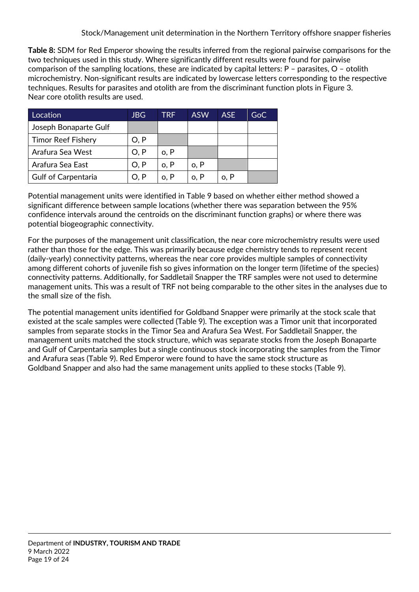**Table 8:** SDM for Red Emperor showing the results inferred from the regional pairwise comparisons for the two techniques used in this study. Where significantly different results were found for pairwise comparison of the sampling locations, these are indicated by capital letters: P – parasites, O – otolith microchemistry. Non-significant results are indicated by lowercase letters corresponding to the respective techniques. Results for parasites and otolith are from the discriminant function plots in Figure 3. Near core otolith results are used.

| Location                   | <b>JBG</b> | TRF  | <b>ASW</b> | <b>ASE</b> | GoC |
|----------------------------|------------|------|------------|------------|-----|
| Joseph Bonaparte Gulf      |            |      |            |            |     |
| <b>Timor Reef Fishery</b>  | O, P       |      |            |            |     |
| Arafura Sea West           | O, P       | o, P |            |            |     |
| Arafura Sea East           | O, P       | o, P | o, P       |            |     |
| <b>Gulf of Carpentaria</b> | O. P       | o, P | o, P       | o, P       |     |

Potential management units were identified in Table 9 based on whether either method showed a significant difference between sample locations (whether there was separation between the 95% confidence intervals around the centroids on the discriminant function graphs) or where there was potential biogeographic connectivity.

For the purposes of the management unit classification, the near core microchemistry results were used rather than those for the edge. This was primarily because edge chemistry tends to represent recent (daily-yearly) connectivity patterns, whereas the near core provides multiple samples of connectivity among different cohorts of juvenile fish so gives information on the longer term (lifetime of the species) connectivity patterns. Additionally, for Saddletail Snapper the TRF samples were not used to determine management units. This was a result of TRF not being comparable to the other sites in the analyses due to the small size of the fish.

The potential management units identified for Goldband Snapper were primarily at the stock scale that existed at the scale samples were collected (Table 9). The exception was a Timor unit that incorporated samples from separate stocks in the Timor Sea and Arafura Sea West. For Saddletail Snapper, the management units matched the stock structure, which was separate stocks from the Joseph Bonaparte and Gulf of Carpentaria samples but a single continuous stock incorporating the samples from the Timor and Arafura seas (Table 9). Red Emperor were found to have the same stock structure as Goldband Snapper and also had the same management units applied to these stocks (Table 9).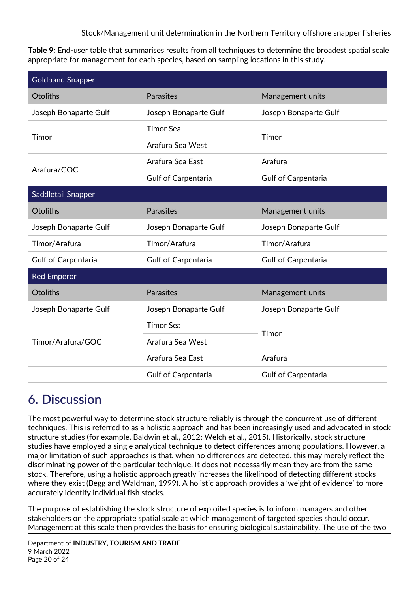**Table 9:** End-user table that summarises results from all techniques to determine the broadest spatial scale appropriate for management for each species, based on sampling locations in this study.

| <b>Goldband Snapper</b>    |                            |                            |  |  |
|----------------------------|----------------------------|----------------------------|--|--|
| Otoliths                   | Parasites                  | Management units           |  |  |
| Joseph Bonaparte Gulf      | Joseph Bonaparte Gulf      | Joseph Bonaparte Gulf      |  |  |
| Timor                      | <b>Timor Sea</b>           | Timor                      |  |  |
|                            | Arafura Sea West           |                            |  |  |
| Arafura/GOC                | Arafura Sea East           | Arafura                    |  |  |
|                            | <b>Gulf of Carpentaria</b> | <b>Gulf of Carpentaria</b> |  |  |
| Saddletail Snapper         |                            |                            |  |  |
| <b>Otoliths</b>            | <b>Parasites</b>           | Management units           |  |  |
| Joseph Bonaparte Gulf      | Joseph Bonaparte Gulf      | Joseph Bonaparte Gulf      |  |  |
| Timor/Arafura              | Timor/Arafura              | Timor/Arafura              |  |  |
| <b>Gulf of Carpentaria</b> | <b>Gulf of Carpentaria</b> | <b>Gulf of Carpentaria</b> |  |  |
| <b>Red Emperor</b>         |                            |                            |  |  |
| <b>Otoliths</b>            | Parasites                  | Management units           |  |  |
| Joseph Bonaparte Gulf      | Joseph Bonaparte Gulf      | Joseph Bonaparte Gulf      |  |  |
| Timor/Arafura/GOC          | <b>Timor Sea</b>           | Timor                      |  |  |
|                            | Arafura Sea West           |                            |  |  |
|                            | Arafura Sea East           | Arafura                    |  |  |
|                            | <b>Gulf of Carpentaria</b> | <b>Gulf of Carpentaria</b> |  |  |

# <span id="page-19-0"></span>**6. Discussion**

The most powerful way to determine stock structure reliably is through the concurrent use of different techniques. This is referred to as a holistic approach and has been increasingly used and advocated in stock structure studies (for example, Baldwin et al., 2012; Welch et al., 2015). Historically, stock structure studies have employed a single analytical technique to detect differences among populations. However, a major limitation of such approaches is that, when no differences are detected, this may merely reflect the discriminating power of the particular technique. It does not necessarily mean they are from the same stock. Therefore, using a holistic approach greatly increases the likelihood of detecting different stocks where they exist (Begg and Waldman, 1999). A holistic approach provides a 'weight of evidence' to more accurately identify individual fish stocks.

The purpose of establishing the stock structure of exploited species is to inform managers and other stakeholders on the appropriate spatial scale at which management of targeted species should occur. Management at this scale then provides the basis for ensuring biological sustainability. The use of the two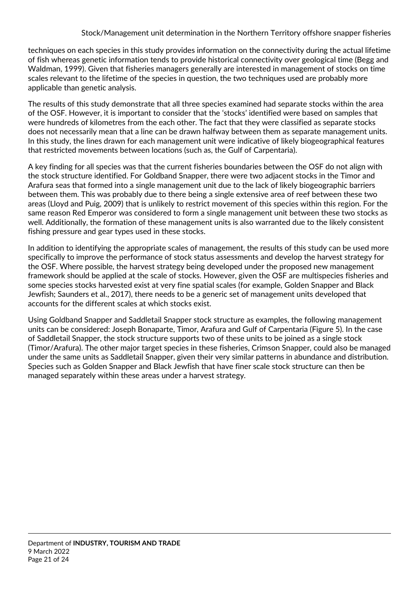techniques on each species in this study provides information on the connectivity during the actual lifetime of fish whereas genetic information tends to provide historical connectivity over geological time (Begg and Waldman, 1999). Given that fisheries managers generally are interested in management of stocks on time scales relevant to the lifetime of the species in question, the two techniques used are probably more applicable than genetic analysis.

The results of this study demonstrate that all three species examined had separate stocks within the area of the OSF. However, it is important to consider that the 'stocks' identified were based on samples that were hundreds of kilometres from the each other. The fact that they were classified as separate stocks does not necessarily mean that a line can be drawn halfway between them as separate management units. In this study, the lines drawn for each management unit were indicative of likely biogeographical features that restricted movements between locations (such as, the Gulf of Carpentaria).

A key finding for all species was that the current fisheries boundaries between the OSF do not align with the stock structure identified. For Goldband Snapper, there were two adjacent stocks in the Timor and Arafura seas that formed into a single management unit due to the lack of likely biogeographic barriers between them. This was probably due to there being a single extensive area of reef between these two areas (Lloyd and Puig, 2009) that is unlikely to restrict movement of this species within this region. For the same reason Red Emperor was considered to form a single management unit between these two stocks as well. Additionally, the formation of these management units is also warranted due to the likely consistent fishing pressure and gear types used in these stocks.

In addition to identifying the appropriate scales of management, the results of this study can be used more specifically to improve the performance of stock status assessments and develop the harvest strategy for the OSF. Where possible, the harvest strategy being developed under the proposed new management framework should be applied at the scale of stocks. However, given the OSF are multispecies fisheries and some species stocks harvested exist at very fine spatial scales (for example, Golden Snapper and Black Jewfish; Saunders et al., 2017), there needs to be a generic set of management units developed that accounts for the different scales at which stocks exist.

Using Goldband Snapper and Saddletail Snapper stock structure as examples, the following management units can be considered: Joseph Bonaparte, Timor, Arafura and Gulf of Carpentaria (Figure 5). In the case of Saddletail Snapper, the stock structure supports two of these units to be joined as a single stock (Timor/Arafura). The other major target species in these fisheries, Crimson Snapper, could also be managed under the same units as Saddletail Snapper, given their very similar patterns in abundance and distribution. Species such as Golden Snapper and Black Jewfish that have finer scale stock structure can then be managed separately within these areas under a harvest strategy.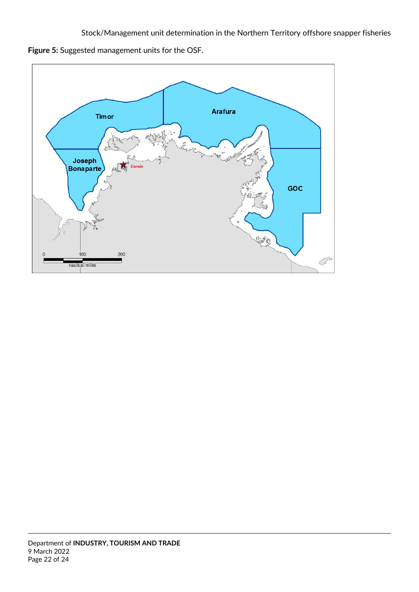**Figure 5:** Suggested management units for the OSF.

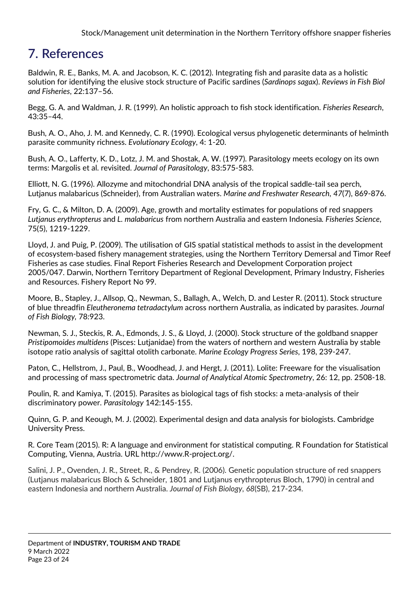# <span id="page-22-0"></span>**7. References**

Baldwin, R. E., Banks, M. A. and Jacobson, K. C. (2012). Integrating fish and parasite data as a holistic solution for identifying the elusive stock structure of Pacific sardines (*Sardinops sagax*). *Reviews in Fish Biol and Fisheries*, 22:137–56.

Begg, G. A. and Waldman, J. R. (1999). An holistic approach to fish stock identification. *Fisheries Research*, 43:35–44.

Bush, A. O., Aho, J. M. and Kennedy, C. R. (1990). Ecological versus phylogenetic determinants of helminth parasite community richness. *Evolutionary Ecology*, 4: 1-20.

Bush, A. O., Lafferty, K. D., Lotz, J. M. and Shostak, A. W. (1997). Parasitology meets ecology on its own terms: Margolis et al. revisited. *Journal of Parasitology*, 83:575-583.

Elliott, N. G. (1996). Allozyme and mitochondrial DNA analysis of the tropical saddle-tail sea perch, Lutjanus malabaricus (Schneider), from Australian waters. *Marine and Freshwater Research*, *47*(7), 869-876.

Fry, G. C., & Milton, D. A. (2009). Age, growth and mortality estimates for populations of red snappers *Lutjanus erythropterus* and *L. malabaricus* from northern Australia and eastern Indonesia*. Fisheries Science*, 75(5), 1219-1229.

Lloyd, J. and Puig, P. (2009). The utilisation of GIS spatial statistical methods to assist in the development of ecosystem-based fishery management strategies, using the Northern Territory Demersal and Timor Reef Fisheries as case studies. Final Report Fisheries Research and Development Corporation project 2005/047. Darwin, Northern Territory Department of Regional Development, Primary Industry, Fisheries and Resources. Fishery Report No 99.

Moore, B., Stapley, J., Allsop, Q., Newman, S., Ballagh, A., Welch, D. and Lester R. (2011). Stock structure of blue threadfin *Eleutheronema tetradactylum* across northern Australia, as indicated by parasites. *Journal of Fish Biology,* 78:923.

Newman, S. J., Steckis, R. A., Edmonds, J. S., & Lloyd, J. (2000). Stock structure of the goldband snapper *Pristipomoides multidens* (Pisces: Lutjanidae) from the waters of northern and western Australia by stable isotope ratio analysis of sagittal otolith carbonate. *Marine Ecology Progress Series*, 198, 239-247.

Paton, C., Hellstrom, J., Paul, B., Woodhead, J. and Hergt, J. (2011). Lolite: Freeware for the visualisation and processing of mass spectrometric data. *Journal of Analytical Atomic Spectrometry*, 26: 12, pp. 2508-18.

Poulin, R. and Kamiya, T. (2015). Parasites as biological tags of fish stocks: a meta-analysis of their discriminatory power. *Parasitology* 142:145-155.

Quinn, G. P. and Keough, M. J. (2002). Experimental design and data analysis for biologists. Cambridge University Press.

R. Core Team (2015). R: A language and environment for statistical computing. R Foundation for Statistical Computing, Vienna, Austria. URL http://www.R-project.org/.

Salini, J. P., Ovenden, J. R., Street, R., & Pendrey, R. (2006). Genetic population structure of red snappers (Lutjanus malabaricus Bloch & Schneider, 1801 and Lutjanus erythropterus Bloch, 1790) in central and eastern Indonesia and northern Australia. *Journal of Fish Biology*, *68*(SB), 217-234.